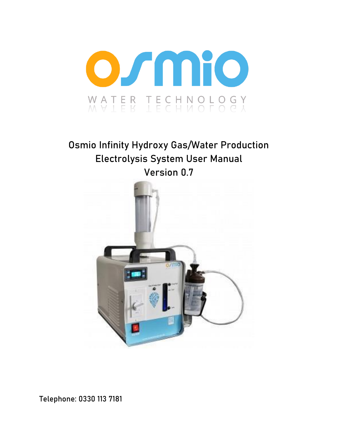

# **Osmio Infinity Hydroxy Gas/Water Production Electrolysis System User Manual Version 0.**7



**Telephone: 0330 113 7181**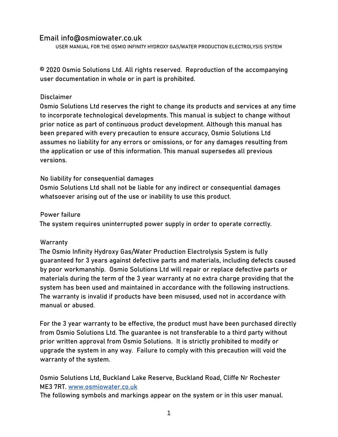#### **Email info@osmiowater.co.uk**

USER MANUAL FOR THE OSMIO INFINITY HYDROXY GAS/WATER PRODUCTION ELECTROLYSIS SYSTEM

© 2020 Osmio Solutions Ltd. All rights reserved. Reproduction of the accompanying user documentation in whole or in part is prohibited.

#### **Disclaimer**

Osmio Solutions Ltd reserves the right to change its products and services at any time to incorporate technological developments. This manual is subject to change without prior notice as part of continuous product development. Although this manual has been prepared with every precaution to ensure accuracy, Osmio Solutions Ltd assumes no liability for any errors or omissions, or for any damages resulting from the application or use of this information. This manual supersedes all previous versions.

#### **No liability for consequential damages**

Osmio Solutions Ltd shall not be liable for any indirect or consequential damages whatsoever arising out of the use or inability to use this product.

#### **Power failure**

The system requires uninterrupted power supply in order to operate correctly.

#### **Warranty**

The Osmio Infinity Hydroxy Gas/Water Production Electrolysis System is fully guaranteed for 3 years against defective parts and materials, including defects caused by poor workmanship. Osmio Solutions Ltd will repair or replace defective parts or materials during the term of the 3 year warranty at no extra charge providing that the system has been used and maintained in accordance with the following instructions. The warranty is invalid if products have been misused, used not in accordance with manual or abused.

For the 3 year warranty to be effective, the product must have been purchased directly from Osmio Solutions Ltd. The guarantee is not transferable to a third party without prior written approval from Osmio Solutions. It is strictly prohibited to modify or upgrade the system in any way. Failure to comply with this precaution will void the warranty of the system.

Osmio Solutions Ltd, Buckland Lake Reserve, Buckland Road, Cliffe Nr Rochester ME3 7RT. [www.osmiowater.co.uk](http://www.osmiowater.co.uk/)

**The following symbols and markings appear on the system or in this user manual.**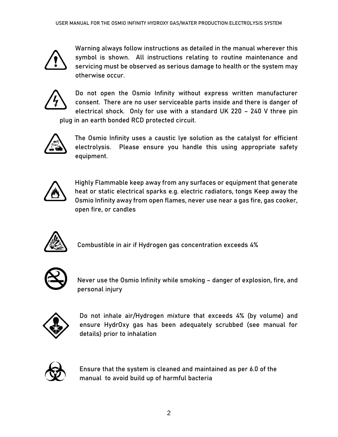

Warning always follow instructions as detailed in the manual wherever this symbol is shown. All instructions relating to routine maintenance and servicing must be observed as serious damage to health or the system may otherwise occur.



Do not open the Osmio Infinity without express written manufacturer consent. There are no user serviceable parts inside and there is danger of electrical shock. Only for use with a standard UK 220 – 240 V three pin plug in an earth bonded RCD protected circuit.



The Osmio Infinity uses a caustic lye solution as the catalyst for efficient electrolysis. Please ensure you handle this using appropriate safety equipment.



Highly Flammable keep away from any surfaces or equipment that generate heat or static electrical sparks e.g. electric radiators, tongs Keep away the Osmio Infinity away from open flames, never use near a gas fire, gas cooker, open fire, or candles



Combustible in air if Hydrogen gas concentration exceeds 4%



Never use the Osmio Infinity while smoking – danger of explosion, fire, and personal injury



Do not inhale air/Hydrogen mixture that exceeds 4% (by volume) and ensure HydrOxy gas has been adequately scrubbed (see manual for details) prior to inhalation



Ensure that the system is cleaned and maintained as per 6.0 of the manual to avoid build up of harmful bacteria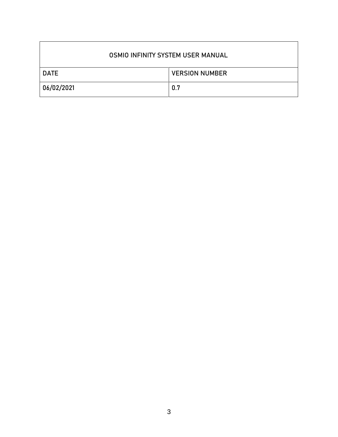| OSMIO INFINITY SYSTEM USER MANUAL |                       |  |  |  |  |  |
|-----------------------------------|-----------------------|--|--|--|--|--|
| <b>DATE</b>                       | <b>VERSION NUMBER</b> |  |  |  |  |  |
| 06/02/2021                        | 0.7                   |  |  |  |  |  |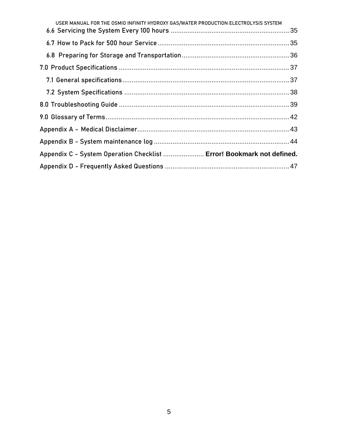| USER MANUAL FOR THE OSMIO INFINITY HYDROXY GAS/WATER PRODUCTION ELECTROLYSIS SYSTEM |  |
|-------------------------------------------------------------------------------------|--|
|                                                                                     |  |
|                                                                                     |  |
|                                                                                     |  |
|                                                                                     |  |
|                                                                                     |  |
|                                                                                     |  |
|                                                                                     |  |
|                                                                                     |  |
|                                                                                     |  |
|                                                                                     |  |
| Appendix C - System Operation Checklist  Error! Bookmark not defined.               |  |
|                                                                                     |  |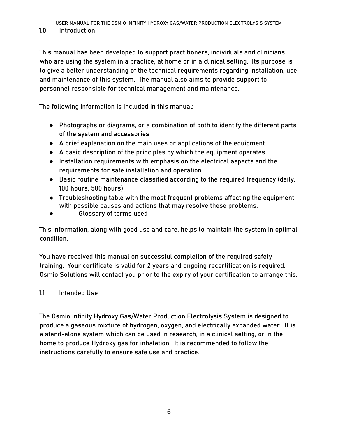<span id="page-6-0"></span>**1.0 Introduction** 

This manual has been developed to support practitioners, individuals and clinicians who are using the system in a practice, at home or in a clinical setting. Its purpose is to give a better understanding of the technical requirements regarding installation, use and maintenance of this system. The manual also aims to provide support to personnel responsible for technical management and maintenance.

The following information is included in this manual:

- Photographs or diagrams, or a combination of both to identify the different parts of the system and accessories
- A brief explanation on the main uses or applications of the equipment
- A basic description of the principles by which the equipment operates
- Installation requirements with emphasis on the electrical aspects and the requirements for safe installation and operation
- Basic routine maintenance classified according to the required frequency (daily, 100 hours, 500 hours).
- Troubleshooting table with the most frequent problems affecting the equipment with possible causes and actions that may resolve these problems.
- Glossary of terms used

This information, along with good use and care, helps to maintain the system in optimal condition.

You have received this manual on successful completion of the required safety training. Your certificate is valid for 2 years and ongoing recertification is required. Osmio Solutions will contact you prior to the expiry of your certification to arrange this.

#### <span id="page-6-1"></span>1.1 Intended Use

The Osmio Infinity Hydroxy Gas/Water Production Electrolysis System is designed to produce a gaseous mixture of hydrogen, oxygen, and electrically expanded water. It is a stand-alone system which can be used in research, in a clinical setting, or in the home to produce Hydroxy gas for inhalation. It is recommended to follow the instructions carefully to ensure safe use and practice.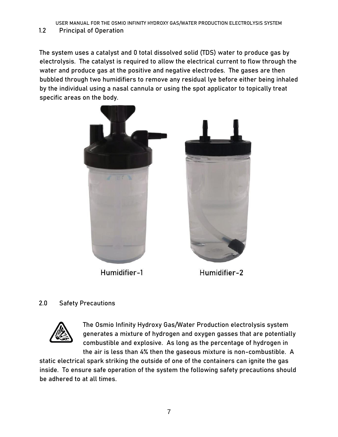<span id="page-7-0"></span>1.2 Principal of Operation

The system uses a catalyst and 0 total dissolved solid (TDS) water to produce gas by electrolysis. The catalyst is required to allow the electrical current to flow through the water and produce gas at the positive and negative electrodes. The gases are then bubbled through two humidifiers to remove any residual lye before either being inhaled by the individual using a nasal cannula or using the spot applicator to topically treat specific areas on the body.



Humidifier-1

Humidifier-2

## <span id="page-7-1"></span>**2.0 Safety Precautions**



The Osmio Infinity Hydroxy Gas/Water Production electrolysis system generates a mixture of hydrogen and oxygen gasses that are potentially combustible and explosive. As long as the percentage of hydrogen in the air is less than 4% then the gaseous mixture is non-combustible. A

static electrical spark striking the outside of one of the containers can ignite the gas inside. To ensure safe operation of the system the following safety precautions should be adhered to at all times.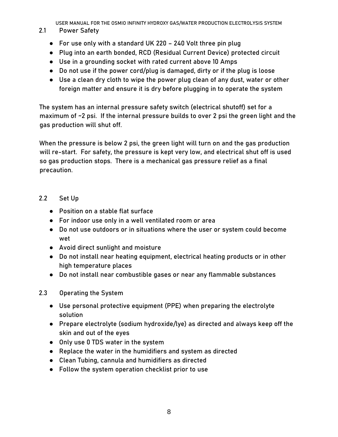#### <span id="page-8-0"></span>2.1 Power Safety

- For use only with a standard UK 220 240 Volt three pin plug
- Plug into an earth bonded, RCD (Residual Current Device) protected circuit
- Use in a grounding socket with rated current above 10 Amps
- Do not use if the power cord/plug is damaged, dirty or if the plug is loose
- Use a clean dry cloth to wipe the power plug clean of any dust, water or other foreign matter and ensure it is dry before plugging in to operate the system

The system has an internal pressure safety switch (electrical shutoff) set for a maximum of ~2 psi. If the internal pressure builds to over 2 psi the green light and the gas production will shut off.

When the pressure is below 2 psi, the green light will turn on and the gas production will re-start. For safety, the pressure is kept very low, and electrical shut off is used so gas production stops. There is a mechanical gas pressure relief as a final precaution.

#### <span id="page-8-1"></span>2.2 Set Up

- Position on a stable flat surface
- For indoor use only in a well ventilated room or area
- Do not use outdoors or in situations where the user or system could become wet
- Avoid direct sunlight and moisture
- Do not install near heating equipment, electrical heating products or in other high temperature places
- Do not install near combustible gases or near any flammable substances

#### <span id="page-8-2"></span>2.3 Operating the System

- Use personal protective equipment (PPE) when preparing the electrolyte solution
- Prepare electrolyte (sodium hydroxide/lye) as directed and always keep off the skin and out of the eyes
- Only use 0 TDS water in the system
- Replace the water in the humidifiers and system as directed
- Clean Tubing, cannula and humidifiers as directed
- Follow the system operation checklist prior to use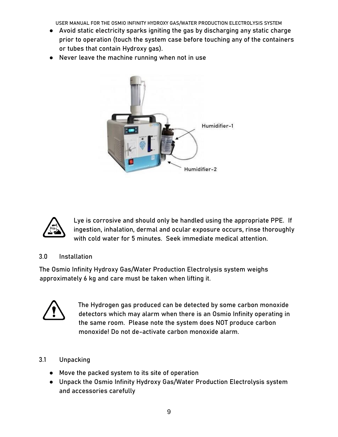- Avoid static electricity sparks igniting the gas by discharging any static charge prior to operation (touch the system case before touching any of the containers or tubes that contain Hydroxy gas).
- Never leave the machine running when not in use





Lye is corrosive and should only be handled using the appropriate PPE. If ingestion, inhalation, dermal and ocular exposure occurs, rinse thoroughly with cold water for 5 minutes. Seek immediate medical attention.

<span id="page-9-0"></span>**3.0 Installation**

The Osmio Infinity Hydroxy Gas/Water Production Electrolysis system weighs approximately 6 kg and care must be taken when lifting it.



The Hydrogen gas produced can be detected by some carbon monoxide detectors which may alarm when there is an Osmio Infinity operating in the same room. Please note the system does NOT produce carbon monoxide! Do not de-activate carbon monoxide alarm.

#### <span id="page-9-1"></span>3.1 Unpacking

- Move the packed system to its site of operation
- Unpack the Osmio Infinity Hydroxy Gas/Water Production Electrolysis system and accessories carefully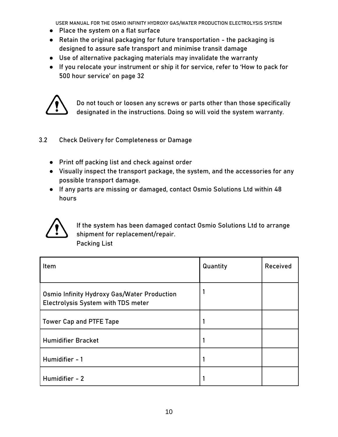- Place the system on a flat surface
- Retain the original packaging for future transportation the packaging is designed to assure safe transport and minimise transit damage
- Use of alternative packaging materials may invalidate the warranty
- If you relocate your instrument or ship it for service, refer to 'How to pack for 500 hour service' on page 32



Do not touch or loosen any screws or parts other than those specifically designated in the instructions. Doing so will void the system warranty.

#### <span id="page-10-0"></span>3.2 Check Delivery for Completeness or Damage

- Print off packing list and check against order
- Visually inspect the transport package, the system, and the accessories for any possible transport damage.
- If any parts are missing or damaged, contact Osmio Solutions Ltd within 48 hours



If the system has been damaged contact Osmio Solutions Ltd to arrange shipment for replacement/repair. Packing List

| Item                                                                                     | Quantity | Received |
|------------------------------------------------------------------------------------------|----------|----------|
| <b>Osmio Infinity Hydroxy Gas/Water Production</b><br>Electrolysis System with TDS meter |          |          |
| <b>Tower Cap and PTFE Tape</b>                                                           |          |          |
| <b>Humidifier Bracket</b>                                                                |          |          |
| Humidifier - 1                                                                           |          |          |
| Humidifier - 2                                                                           |          |          |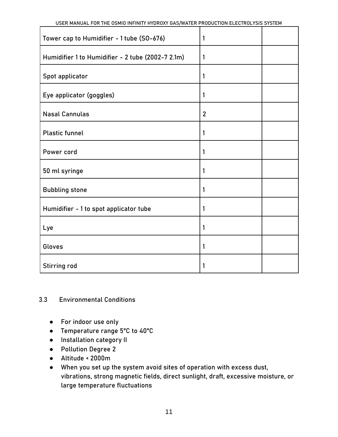| USER MANUAL FOR THE OSMIO INFINITY HYDROXY GAS/WATER PRODUCTION ELECTROLYSIS SYSTEM |                |  |
|-------------------------------------------------------------------------------------|----------------|--|
| Tower cap to Humidifier - 1 tube (SO-676)                                           | 1              |  |
| Humidifier 1 to Humidifier - 2 tube (2002-7 2.1m)                                   | 1              |  |
| Spot applicator                                                                     | 1              |  |
| Eye applicator (goggles)                                                            | 1              |  |
| <b>Nasal Cannulas</b>                                                               | $\overline{2}$ |  |
| <b>Plastic funnel</b>                                                               | 1              |  |
| Power cord                                                                          | 1              |  |
| 50 ml syringe                                                                       | 1              |  |
| <b>Bubbling stone</b>                                                               | 1              |  |
| Humidifier - 1 to spot applicator tube                                              | 1              |  |
| Lye                                                                                 | 1              |  |
| Gloves                                                                              | 1              |  |
| <b>Stirring rod</b>                                                                 | 1              |  |

#### <span id="page-11-0"></span>3.3 Environmental Conditions

- For indoor use only
- Temperature range 5°C to 40°C
- Installation category II
- Pollution Degree 2
- Altitude < 2000m
- When you set up the system avoid sites of operation with excess dust, vibrations, strong magnetic fields, direct sunlight, draft, excessive moisture, or large temperature fluctuations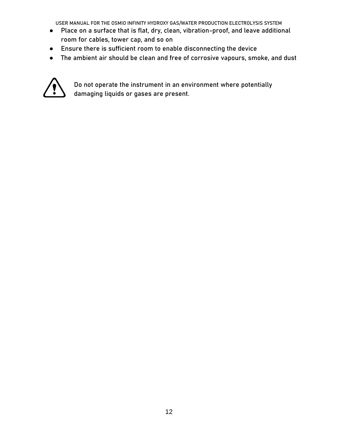- Place on a surface that is flat, dry, clean, vibration-proof, and leave additional room for cables, tower cap, and so on
- Ensure there is sufficient room to enable disconnecting the device
- The ambient air should be clean and free of corrosive vapours, smoke, and dust



Do not operate the instrument in an environment where potentially damaging liquids or gases are present.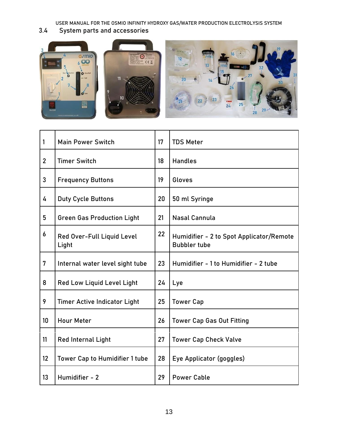<span id="page-13-0"></span>3.4 System parts and accessories



| 1              | <b>Main Power Switch</b>                   | 17 | <b>TDS Meter</b>                                                |
|----------------|--------------------------------------------|----|-----------------------------------------------------------------|
| $\overline{2}$ | <b>Timer Switch</b>                        | 18 | <b>Handles</b>                                                  |
| 3              | <b>Frequency Buttons</b>                   | 19 | Gloves                                                          |
| 4              | <b>Duty Cycle Buttons</b>                  | 20 | 50 ml Syringe                                                   |
| 5              | <b>Green Gas Production Light</b>          | 21 | <b>Nasal Cannula</b>                                            |
| 6              | <b>Red Over-Full Liquid Level</b><br>Light | 22 | Humidifier - 2 to Spot Applicator/Remote<br><b>Bubbler tube</b> |
| $\overline{7}$ | Internal water level sight tube            | 23 | Humidifier - 1 to Humidifier - 2 tube                           |
| 8              | Red Low Liquid Level Light                 | 24 | Lye                                                             |
| 9              | <b>Timer Active Indicator Light</b>        | 25 | <b>Tower Cap</b>                                                |
| 10             | <b>Hour Meter</b>                          | 26 | <b>Tower Cap Gas Out Fitting</b>                                |
| 11             | <b>Red Internal Light</b>                  | 27 | <b>Tower Cap Check Valve</b>                                    |
| 12             | <b>Tower Cap to Humidifier 1 tube</b>      | 28 | Eye Applicator (goggles)                                        |
| 13             | Humidifier - 2                             | 29 | <b>Power Cable</b>                                              |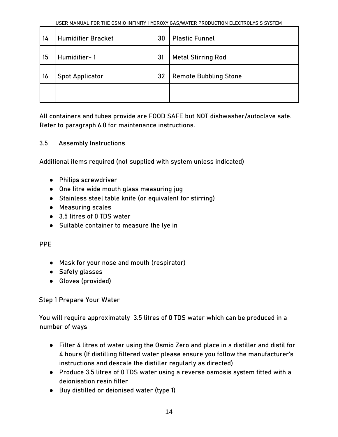| 14 | <b>Humidifier Bracket</b> | 30 | <b>Plastic Funnel</b>        |
|----|---------------------------|----|------------------------------|
| 15 | Humidifier-1              | 31 | <b>Metal Stirring Rod</b>    |
| 16 | <b>Spot Applicator</b>    | 32 | <b>Remote Bubbling Stone</b> |
|    |                           |    |                              |

<span id="page-14-0"></span>All containers and tubes provide are FOOD SAFE but NOT dishwasher/autoclave safe. Refer to paragraph 6.0 for maintenance instructions.

#### 3.5 Assembly Instructions

Additional items required (not supplied with system unless indicated)

- Philips screwdriver
- One litre wide mouth glass measuring jug
- Stainless steel table knife (or equivalent for stirring)
- Measuring scales
- 3.5 litres of 0 TDS water
- Suitable container to measure the lye in

#### PPE

- Mask for your nose and mouth (respirator)
- Safety glasses
- Gloves (provided)

#### Step 1 Prepare Your Water

You will require approximately 3.5 litres of 0 TDS water which can be produced in a number of ways

- Filter 4 litres of water using the Osmio Zero and place in a distiller and distil for 4 hours (If distilling filtered water please ensure you follow the manufacturer's instructions and descale the distiller regularly as directed)
- Produce 3.5 litres of 0 TDS water using a reverse osmosis system fitted with a deionisation resin filter
- Buy distilled or deionised water (type 1)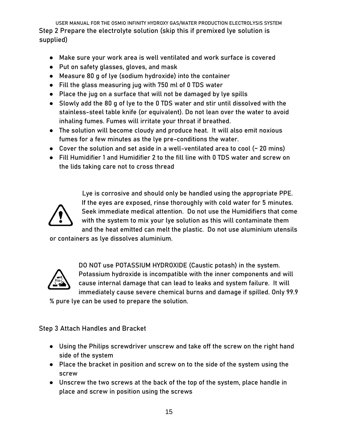USER MANUAL FOR THE OSMIO INFINITY HYDROXY GAS/WATER PRODUCTION ELECTROLYSIS SYSTEM Step 2 Prepare the electrolyte solution (skip this if premixed lye solution is supplied)

- Make sure your work area is well ventilated and work surface is covered
- Put on safety glasses, gloves, and mask
- Measure 80 g of lye (sodium hydroxide) into the container
- Fill the glass measuring jug with 750 ml of 0 TDS water
- Place the jug on a surface that will not be damaged by lye spills
- Slowly add the 80 g of lye to the 0 TDS water and stir until dissolved with the stainless-steel table knife (or equivalent). Do not lean over the water to avoid inhaling fumes. Fumes will irritate your throat if breathed.
- The solution will become cloudy and produce heat. It will also emit noxious fumes for a few minutes as the lye pre-conditions the water.
- Cover the solution and set aside in a well-ventilated area to cool (~ 20 mins)
- Fill Humidifier 1 and Humidifier 2 to the fill line with 0 TDS water and screw on the lids taking care not to cross thread



Lye is corrosive and should only be handled using the appropriate PPE. If the eyes are exposed, rinse thoroughly with cold water for 5 minutes. Seek immediate medical attention. Do not use the Humidifiers that come with the system to mix your lye solution as this will contaminate them and the heat emitted can melt the plastic. Do not use aluminium utensils

or containers as lye dissolves aluminium.



DO NOT use POTASSIUM HYDROXIDE (Caustic potash) in the system. Potassium hydroxide is incompatible with the inner components and will cause internal damage that can lead to leaks and system failure. It will immediately cause severe chemical burns and damage if spilled. Only 99.9

% pure lye can be used to prepare the solution.

Step 3 Attach Handles and Bracket

- Using the Philips screwdriver unscrew and take off the screw on the right hand side of the system
- Place the bracket in position and screw on to the side of the system using the screw
- Unscrew the two screws at the back of the top of the system, place handle in place and screw in position using the screws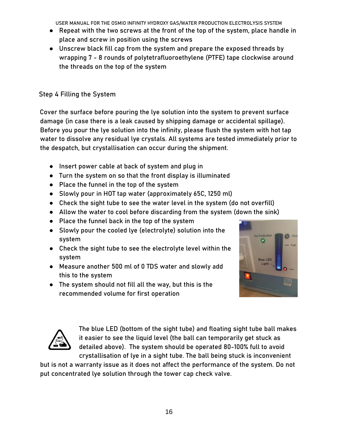- Repeat with the two screws at the front of the top of the system, place handle in place and screw in position using the screws
- Unscrew black fill cap from the system and prepare the exposed threads by wrapping 7 - 8 rounds of polytetrafluoroethylene (PTFE) tape clockwise around the threads on the top of the system

## Step 4 Filling the System

Cover the surface before pouring the lye solution into the system to prevent surface damage (in case there is a leak caused by shipping damage or accidental spillage). Before you pour the lye solution into the infinity, please flush the system with hot tap water to dissolve any residual lye crystals. All systems are tested immediately prior to the despatch, but crystallisation can occur during the shipment.

- Insert power cable at back of system and plug in
- Turn the system on so that the front display is illuminated
- Place the funnel in the top of the system
- Slowly pour in HOT tap water (approximately 65C, 1250 ml)
- Check the sight tube to see the water level in the system (do not overfill)
- Allow the water to cool before discarding from the system (down the sink)
- Place the funnel back in the top of the system
- Slowly pour the cooled lye (electrolyte) solution into the system
- Check the sight tube to see the electrolyte level within the system
- Measure another 500 ml of 0 TDS water and slowly add this to the system
- The system should not fill all the way, but this is the recommended volume for first operation





The blue LED (bottom of the sight tube) and floating sight tube ball makes it easier to see the liquid level (the ball can temporarily get stuck as detailed above). The system should be operated 80-100% full to avoid crystallisation of lye in a sight tube. The ball being stuck is inconvenient

but is not a warranty issue as it does not affect the performance of the system. Do not put concentrated lye solution through the tower cap check valve.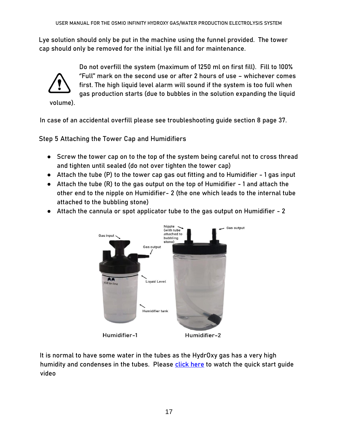Lye solution should only be put in the machine using the funnel provided. The tower cap should only be removed for the initial lye fill and for maintenance.



Do not overfill the system (maximum of 1250 ml on first fill). Fill to 100% ''Full'' mark on the second use or after 2 hours of use – whichever comes first. The high liquid level alarm will sound if the system is too full when gas production starts (due to bubbles in the solution expanding the liquid

In case of an accidental overfill please see troubleshooting guide section 8 page 37.

Step 5 Attaching the Tower Cap and Humidifiers

- Screw the tower cap on to the top of the system being careful not to cross thread and tighten until sealed (do not over tighten the tower cap)
- Attach the tube (P) to the tower cap gas out fitting and to Humidifier 1 gas input
- Attach the tube (R) to the gas output on the top of Humidifier 1 and attach the other end to the nipple on Humidifier- 2 (the one which leads to the internal tube attached to the bubbling stone)
- Attach the cannula or spot applicator tube to the gas output on Humidifier 2



It is normal to have some water in the tubes as the HydrOxy gas has a very high humidity and condenses in the tubes. Please [click here](https://www.youtube.com/watch?v=XSVJEXot55E&feature=youtu.be) to watch the quick start guide video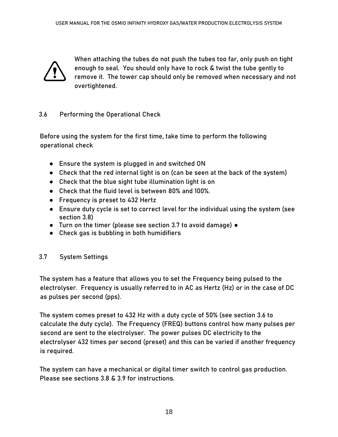

When attaching the tubes do not push the tubes too far, only push on tight enough to seal. You should only have to rock & twist the tube gently to remove it. The tower cap should only be removed when necessary and not overtightened.

#### <span id="page-18-0"></span>3.6 Performing the Operational Check

Before using the system for the first time, take time to perform the following operational check

- Ensure the system is plugged in and switched ON
- Check that the red internal light is on (can be seen at the back of the system)
- Check that the blue sight tube illumination light is on
- Check that the fluid level is between 80% and 100%.
- Frequency is preset to 432 Hertz
- Ensure duty cycle is set to correct level for the individual using the system (see section 3.8)
- Turn on the timer (please see section 3.7 to avoid damage) ●
- Check gas is bubbling in both humidifiers

#### <span id="page-18-1"></span>3.7 System Settings

The system has a feature that allows you to set the Frequency being pulsed to the electrolyser. Frequency is usually referred to in AC as Hertz (Hz) or in the case of DC as pulses per second (pps).

The system comes preset to 432 Hz with a duty cycle of 50% (see section 3.6 to calculate the duty cycle). The Frequency (FREQ) buttons control how many pulses per second are sent to the electrolyser. The power pulses DC electricity to the electrolyser 432 times per second (preset) and this can be varied if another frequency is required.

The system can have a mechanical or digital timer switch to control gas production. Please see sections 3.8 & 3.9 for instructions.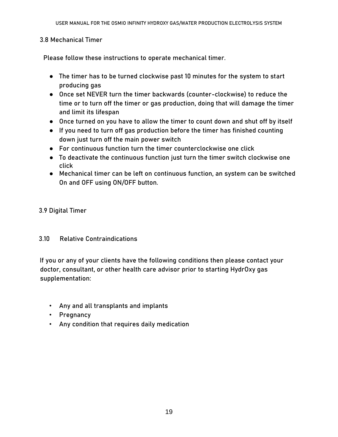#### 3.8 Mechanical Timer

Please follow these instructions to operate mechanical timer.

- The timer has to be turned clockwise past 10 minutes for the system to start producing gas
- Once set NEVER turn the timer backwards (counter-clockwise) to reduce the time or to turn off the timer or gas production, doing that will damage the timer and limit its lifespan
- Once turned on you have to allow the timer to count down and shut off by itself
- If you need to turn off gas production before the timer has finished counting down just turn off the main power switch
- For continuous function turn the timer counterclockwise one click
- To deactivate the continuous function just turn the timer switch clockwise one click
- Mechanical timer can be left on continuous function, an system can be switched On and OFF using ON/OFF button.

#### 3.9 Digital Timer

#### <span id="page-19-0"></span>3.10 Relative Contraindications

If you or any of your clients have the following conditions then please contact your doctor, consultant, or other health care advisor prior to starting HydrOxy gas supplementation:

- Any and all transplants and implants
- Pregnancy
- Any condition that requires daily medication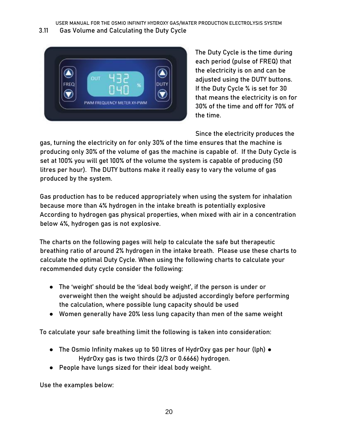#### <span id="page-20-0"></span>3.11 Gas Volume and Calculating the Duty Cycle



The Duty Cycle is the time during each period (pulse of FREQ) that the electricity is on and can be adjusted using the DUTY buttons. If the Duty Cycle % is set for 30 that means the electricity is on for 30% of the time and off for 70% of the time.

Since the electricity produces the

gas, turning the electricity on for only 30% of the time ensures that the machine is producing only 30% of the volume of gas the machine is capable of. If the Duty Cycle is set at 100% you will get 100% of the volume the system is capable of producing (50 litres per hour). The DUTY buttons make it really easy to vary the volume of gas produced by the system.

Gas production has to be reduced appropriately when using the system for inhalation because more than 4% hydrogen in the intake breath is potentially explosive According to hydrogen gas physical properties, when mixed with air in a concentration below 4%, hydrogen gas is not explosive.

The charts on the following pages will help to calculate the safe but therapeutic breathing ratio of around 2% hydrogen in the intake breath. Please use these charts to calculate the optimal Duty Cycle. When using the following charts to calculate your recommended duty cycle consider the following:

- The 'weight' should be the 'ideal body weight', if the person is under or overweight then the weight should be adjusted accordingly before performing the calculation, where possible lung capacity should be used
- Women generally have 20% less lung capacity than men of the same weight

To calculate your safe breathing limit the following is taken into consideration:

- The Osmio Infinity makes up to 50 litres of HydrOxy gas per hour (lph) HydrOxy gas is two thirds (2/3 or 0.6666) hydrogen.
- People have lungs sized for their ideal body weight.

Use the examples below: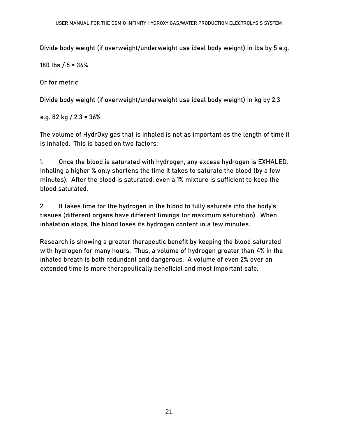Divide body weight (if overweight/underweight use ideal body weight) in lbs by 5 e.g.

180 lbs / 5 = 36%

Or for metric

Divide body weight (if overweight/underweight use ideal body weight) in kg by 2.3

e.g. 82 kg / 2.3 = 36%

The volume of HydrOxy gas that is inhaled is not as important as the length of time it is inhaled. This is based on two factors:

1. Once the blood is saturated with hydrogen, any excess hydrogen is EXHALED. Inhaling a higher % only shortens the time it takes to saturate the blood (by a few minutes). After the blood is saturated, even a 1% mixture is sufficient to keep the blood saturated.

2. It takes time for the hydrogen in the blood to fully saturate into the body's tissues (different organs have different timings for maximum saturation). When inhalation stops, the blood loses its hydrogen content in a few minutes.

Research is showing a greater therapeutic benefit by keeping the blood saturated with hydrogen for many hours. Thus, a volume of hydrogen greater than 4% in the inhaled breath is both redundant and dangerous. A volume of even 2% over an extended time is more therapeutically beneficial and most important safe.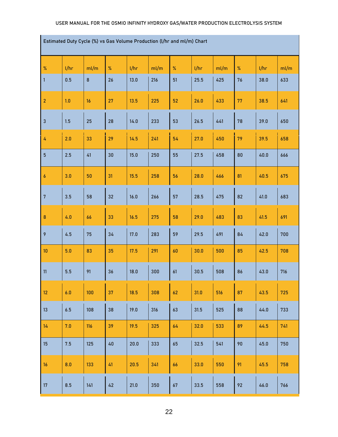**Estimated Duty Cycle (%) vs Gas Volume Production (l/hr and ml/m) Chart**

| Estimated Duty Cycle (%) vs Gas Volume Production (l/nr and ml/m) Chart |      |         |        |      |      |             |      |      |      |      |      |
|-------------------------------------------------------------------------|------|---------|--------|------|------|-------------|------|------|------|------|------|
| %                                                                       | 1/hr | ml/m    | $\%$   | 1/hr | ml/m | $\%$        | 1/hr | ml/m | $\%$ | 1/hr | ml/m |
| $\mathbf{1}$                                                            | 0.5  | $\bf 8$ | 26     | 13.0 | 216  | 51          | 25.5 | 425  | 76   | 38.0 | 633  |
| $\overline{2}$                                                          | 1.0  | 16      | 27     | 13.5 | 225  | 52          | 26.0 | 433  | 77   | 38.5 | 641  |
| $\mathbf{3}$                                                            | 1.5  | 25      | 28     | 14.0 | 233  | 53          | 26.5 | 441  | 78   | 39.0 | 650  |
| 4                                                                       | 2.0  | 33      | 29     | 14.5 | 241  | 54          | 27.0 | 450  | 79   | 39.5 | 658  |
| $5\phantom{a}$                                                          | 2.5  | 41      | 30     | 15.0 | 250  | 55          | 27.5 | 458  | 80   | 40.0 | 666  |
| $\pmb{6}$                                                               | 3.0  | 50      | 31     | 15.5 | 258  | 56          | 28.0 | 466  | 81   | 40.5 | 675  |
| $\sqrt{7}$                                                              | 3.5  | 58      | 32     | 16.0 | 266  | 57          | 28.5 | 475  | 82   | 41.0 | 683  |
| $\pmb{8}$                                                               | 4.0  | 66      | 33     | 16.5 | 275  | 58          | 29.0 | 483  | 83   | 41.5 | 691  |
| 9                                                                       | 4.5  | 75      | 34     | 17.0 | 283  | 59          | 29.5 | 491  | 84   | 42.0 | 700  |
| 10 <sup>°</sup>                                                         | 5.0  | 83      | 35     | 17.5 | 291  | 60          | 30.0 | 500  | 85   | 42.5 | 708  |
| 11                                                                      | 5.5  | 91      | 36     | 18.0 | 300  | 61          | 30.5 | 508  | 86   | 43.0 | 716  |
| 12 <sup>°</sup>                                                         | 6.0  | 100     | 37     | 18.5 | 308  | 62          | 31.0 | 516  | 87   | 43.5 | 725  |
| 13                                                                      | 6.5  | 108     | 38     | 19.0 | 316  | 63          | 31.5 | 525  | 88   | 44.0 | 733  |
| 14                                                                      | 7.0  | 116     | 39     | 19.5 | 325  | 64          | 32.0 | 533  | 89   | 44.5 | 741  |
| 15 <sub>15</sub>                                                        | 7.5  | 125     | $40\,$ | 20.0 | 333  | 65          | 32.5 | 541  | 90   | 45.0 | 750  |
| 16                                                                      | 8.0  | 133     | 41     | 20.5 | 341  | 66          | 33.0 | 550  | 91   | 45.5 | 758  |
| 17                                                                      | 8.5  | 141     | 42     | 21.0 | 350  | $\sqrt{67}$ | 33.5 | 558  | 92   | 46.0 | 766  |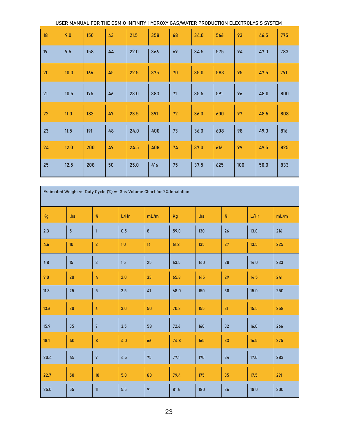|    | USER MANUAL FOR THE OSMIO INFINITY HYDROXY GAS/WATER PRODUCTION ELECTROLYSIS SYSTEM |     |    |      |     |    |      |     |     |      |     |
|----|-------------------------------------------------------------------------------------|-----|----|------|-----|----|------|-----|-----|------|-----|
| 18 | 9.0                                                                                 | 150 | 43 | 21.5 | 358 | 68 | 34.0 | 566 | 93  | 46.5 | 775 |
| 19 | 9.5                                                                                 | 158 | 44 | 22.0 | 366 | 69 | 34.5 | 575 | 94  | 47.0 | 783 |
| 20 | 10.0                                                                                | 166 | 45 | 22.5 | 375 | 70 | 35.0 | 583 | 95  | 47.5 | 791 |
| 21 | 10.5                                                                                | 175 | 46 | 23.0 | 383 | 71 | 35.5 | 591 | 96  | 48.0 | 800 |
| 22 | 11.0                                                                                | 183 | 47 | 23.5 | 391 | 72 | 36.0 | 600 | 97  | 48.5 | 808 |
| 23 | 11.5                                                                                | 191 | 48 | 24.0 | 400 | 73 | 36.0 | 608 | 98  | 49.0 | 816 |
| 24 | 12.0                                                                                | 200 | 49 | 24.5 | 408 | 74 | 37.0 | 616 | 99  | 49.5 | 825 |
| 25 | 12.5                                                                                | 208 | 50 | 25.0 | 416 | 75 | 37.5 | 625 | 100 | 50.0 | 833 |

| Estimated Weight vs Duty Cycle (%) vs Gas Volume Chart for 2% Inhalation |                |                         |      |         |      |     |      |      |      |  |
|--------------------------------------------------------------------------|----------------|-------------------------|------|---------|------|-----|------|------|------|--|
| Kg                                                                       | lbs            | $\%$                    | L/Hr | mL/m    | Kg   | lbs | $\%$ | L/Hr | mL/m |  |
| 2.3                                                                      | $\overline{5}$ | $\mathbf{1}$            | 0.5  | $\bf 8$ | 59.0 | 130 | 26   | 13.0 | 216  |  |
| 4.6                                                                      | 10             | $\overline{\mathbf{c}}$ | 1.0  | 16      | 61.2 | 135 | 27   | 13.5 | 225  |  |
| 6.8                                                                      | 15             | 3                       | 1.5  | 25      | 63.5 | 140 | 28   | 14.0 | 233  |  |
| 9.0                                                                      | 20             | 4                       | 2.0  | 33      | 65.8 | 145 | 29   | 14.5 | 241  |  |
| 11.3                                                                     | 25             | 5                       | 2.5  | 41      | 68.0 | 150 | 30   | 15.0 | 250  |  |
| 13.6                                                                     | 30             | 6                       | 3.0  | 50      | 70.3 | 155 | 31   | 15.5 | 258  |  |
| 15.9                                                                     | 35             | 7                       | 3.5  | 58      | 72.6 | 160 | 32   | 16.0 | 266  |  |
| 18.1                                                                     | 40             | 8                       | 4.0  | 66      | 74.8 | 165 | 33   | 16.5 | 275  |  |
| 20.4                                                                     | 45             | 9                       | 4.5  | 75      | 77.1 | 170 | 34   | 17.0 | 283  |  |
| 22.7                                                                     | 50             | $10\,$                  | 5.0  | 83      | 79.4 | 175 | 35   | 17.5 | 291  |  |
| 25.0                                                                     | 55             | 11                      | 5.5  | 91      | 81.6 | 180 | 36   | 18.0 | 300  |  |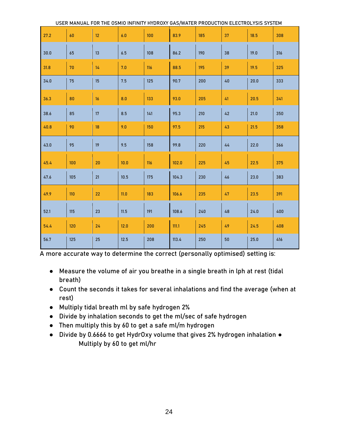|      | USER MANUAL FOR THE OSMIO INFINITY HYDROXY GAS/WATER PRODUCTION ELECTROLYSIS SYSTEM |      |      |     |       |     |    |      |     |
|------|-------------------------------------------------------------------------------------|------|------|-----|-------|-----|----|------|-----|
| 27.2 | 60                                                                                  | 12   | 6.0  | 100 | 83.9  | 185 | 37 | 18.5 | 308 |
| 30.0 | 65                                                                                  | 13   | 6.5  | 108 | 86.2  | 190 | 38 | 19.0 | 316 |
| 31.8 | 70                                                                                  | 14   | 7.0  | 116 | 88.5  | 195 | 39 | 19.5 | 325 |
| 34.0 | 75                                                                                  | 15   | 7.5  | 125 | 90.7  | 200 | 40 | 20.0 | 333 |
| 36.3 | 80                                                                                  | 16   | 8.0  | 133 | 93.0  | 205 | 41 | 20.5 | 341 |
| 38.6 | 85                                                                                  | 17   | 8.5  | 141 | 95.3  | 210 | 42 | 21.0 | 350 |
| 40.8 | 90                                                                                  | 18   | 9.0  | 150 | 97.5  | 215 | 43 | 21.5 | 358 |
| 43.0 | 95                                                                                  | 19   | 9.5  | 158 | 99.8  | 220 | 44 | 22.0 | 366 |
| 45.4 | 100                                                                                 | 20   | 10.0 | 116 | 102.0 | 225 | 45 | 22.5 | 375 |
| 47.6 | 105                                                                                 | $21$ | 10.5 | 175 | 104.3 | 230 | 46 | 23.0 | 383 |
| 49.9 | 110                                                                                 | 22   | 11.0 | 183 | 106.6 | 235 | 47 | 23.5 | 391 |
| 52.1 | 115                                                                                 | 23   | 11.5 | 191 | 108.6 | 240 | 48 | 24.0 | 400 |
| 54.4 | 120                                                                                 | 24   | 12.0 | 200 | 111.1 | 245 | 49 | 24.5 | 408 |
| 56.7 | 125                                                                                 | 25   | 12.5 | 208 | 113.4 | 250 | 50 | 25.0 | 416 |

A more accurate way to determine the correct (personally optimised) setting is:

- Measure the volume of air you breathe in a single breath in lph at rest (tidal breath)
- Count the seconds it takes for several inhalations and find the average (when at rest)
- Multiply tidal breath ml by safe hydrogen 2%
- Divide by inhalation seconds to get the ml/sec of safe hydrogen
- Then multiply this by 60 to get a safe ml/m hydrogen
- Divide by 0.6666 to get HydrOxy volume that gives 2% hydrogen inhalation Multiply by 60 to get ml/hr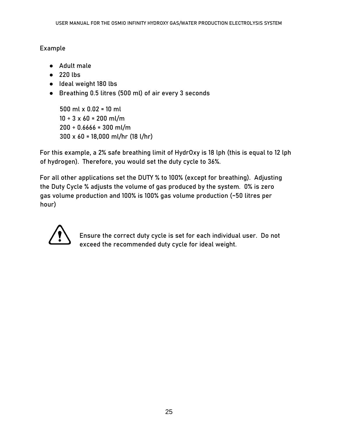#### Example

- Adult male
- 220 lbs
- Ideal weight 180 lbs
- Breathing 0.5 litres (500 ml) of air every 3 seconds

500 ml x 0.02 = 10 ml  $10 \div 3 \times 60 = 200$  ml/m  $200 \div 0.6666 = 300$  ml/m 300 x 60 = 18,000 ml/hr (18 l/hr)

For this example, a 2% safe breathing limit of HydrOxy is 18 lph (this is equal to 12 lph of hydrogen). Therefore, you would set the duty cycle to 36%.

For all other applications set the DUTY % to 100% (except for breathing). Adjusting the Duty Cycle % adjusts the volume of gas produced by the system. 0% is zero gas volume production and 100% is 100% gas volume production (~50 litres per hour)



<span id="page-25-0"></span>Ensure the correct duty cycle is set for each individual user. Do not exceed the recommended duty cycle for ideal weight.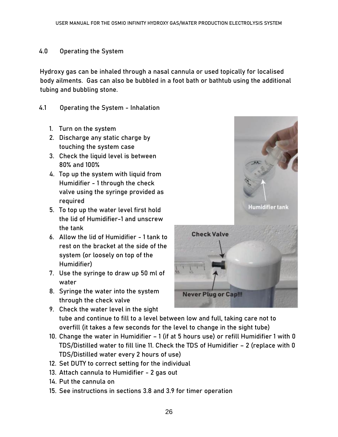#### **4.0 Operating the System**

Hydroxy gas can be inhaled through a nasal cannula or used topically for localised body ailments. Gas can also be bubbled in a foot bath or bathtub using the additional tubing and bubbling stone.

#### <span id="page-26-0"></span>4.1 Operating the System - Inhalation

- 1. Turn on the system
- 2. Discharge any static charge by touching the system case
- 3. Check the liquid level is between 80% and 100%
- 4. Top up the system with liquid from Humidifier - 1 through the check valve using the syringe provided as required
- 5. To top up the water level first hold the lid of Humidifier-1 and unscrew the tank
- 6. Allow the lid of Humidifier 1 tank to rest on the bracket at the side of the system (or loosely on top of the Humidifier)
- 7. Use the syringe to draw up 50 ml of water
- 8. Syringe the water into the system through the check valve



- 9. Check the water level in the sight tube and continue to fill to a level between low and full, taking care not to overfill (it takes a few seconds for the level to change in the sight tube)
- 10. Change the water in Humidifier 1 (if at 5 hours use) or refill Humidifier 1 with 0 TDS/Distilled water to fill line 11. Check the TDS of Humidifier – 2 (replace with 0 TDS/Distilled water every 2 hours of use)
- 12. Set DUTY to correct setting for the individual
- 13. Attach cannula to Humidifier 2 gas out
- 14. Put the cannula on
- 15. See instructions in sections 3.8 and 3.9 for timer operation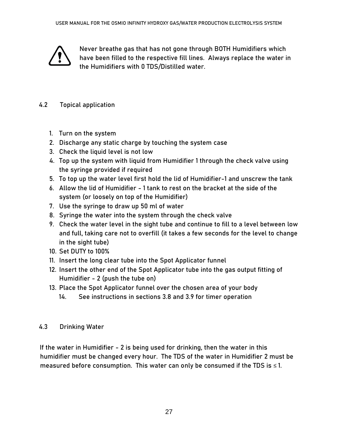<span id="page-27-0"></span>

Never breathe gas that has not gone through BOTH Humidifiers which have been filled to the respective fill lines. Always replace the water in the Humidifiers with 0 TDS/Distilled water.

#### 4.2 Topical application

- 1. Turn on the system
- 2. Discharge any static charge by touching the system case
- 3. Check the liquid level is not low
- 4. Top up the system with liquid from Humidifier 1 through the check valve using the syringe provided if required
- 5. To top up the water level first hold the lid of Humidifier-1 and unscrew the tank
- 6. Allow the lid of Humidifier 1 tank to rest on the bracket at the side of the system (or loosely on top of the Humidifier)
- 7. Use the syringe to draw up 50 ml of water
- 8. Syringe the water into the system through the check valve
- 9. Check the water level in the sight tube and continue to fill to a level between low and full, taking care not to overfill (it takes a few seconds for the level to change in the sight tube)
- 10. Set DUTY to 100%
- 11. Insert the long clear tube into the Spot Applicator funnel
- 12. Insert the other end of the Spot Applicator tube into the gas output fitting of Humidifier - 2 (push the tube on)
- <span id="page-27-1"></span>13. Place the Spot Applicator funnel over the chosen area of your body
	- 14. See instructions in sections 3.8 and 3.9 for timer operation

#### 4.3 Drinking Water

If the water in Humidifier - 2 is being used for drinking, then the water in this humidifier must be changed every hour. The TDS of the water in Humidifier 2 must be measured before consumption. This water can only be consumed if the TDS is  $\leq 1$ .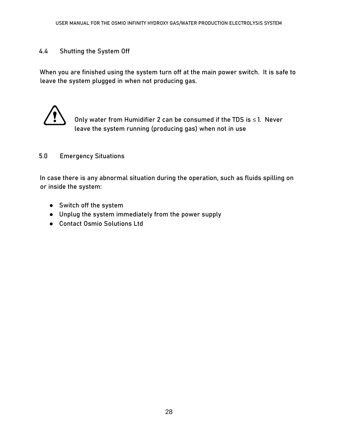#### <span id="page-28-0"></span>4.4 Shutting the System Off

When you are finished using the system turn off at the main power switch. It is safe to leave the system plugged in when not producing gas.



Only water from Humidifier 2 can be consumed if the TDS is  $\leq 1$ . Never leave the system running (producing gas) when not in use

#### <span id="page-28-1"></span>**5.0 Emergency Situations**

In case there is any abnormal situation during the operation, such as fluids spilling on or inside the system:

- Switch off the system
- Unplug the system immediately from the power supply
- Contact Osmio Solutions Ltd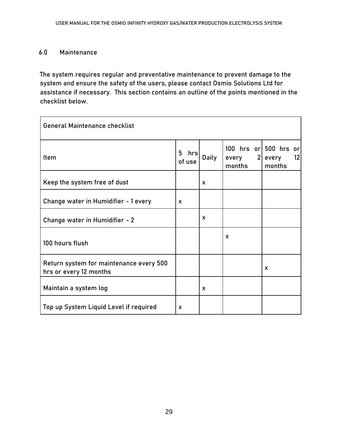#### <span id="page-29-0"></span>**6.0 Maintenance**

The system requires regular and preventative maintenance to prevent damage to the system and ensure the safety of the users, please contact Osmio Solutions Ltd for assistance if necessary. This section contains an outline of the points mentioned in the checklist below.

<span id="page-29-1"></span>

| <b>General Maintenance checklist</b>                              |                    |              |                 |                                                  |
|-------------------------------------------------------------------|--------------------|--------------|-----------------|--------------------------------------------------|
| Item                                                              | 5<br>hrs<br>of use | <b>Daily</b> | every<br>months | 100 hrs or 500 hrs or<br>2 every<br>12<br>months |
| Keep the system free of dust                                      |                    | X            |                 |                                                  |
| Change water in Humidifier - 1 every                              | $\mathbf{x}$       |              |                 |                                                  |
| Change water in Humidifier - 2                                    |                    | X            |                 |                                                  |
| 100 hours flush                                                   |                    |              | X               |                                                  |
| Return system for maintenance every 500<br>hrs or every 12 months |                    |              |                 | $\mathbf{x}$                                     |
| Maintain a system log                                             |                    | $\mathbf{x}$ |                 |                                                  |
| Top up System Liquid Level if required                            | X                  |              |                 |                                                  |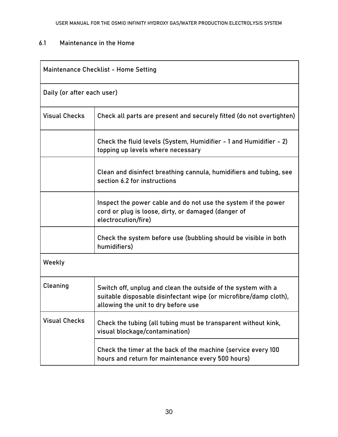#### 6.1 Maintenance in the Home

| <b>Maintenance Checklist - Home Setting</b> |                                                                                                                                                                           |  |  |
|---------------------------------------------|---------------------------------------------------------------------------------------------------------------------------------------------------------------------------|--|--|
|                                             | Daily (or after each user)                                                                                                                                                |  |  |
| <b>Visual Checks</b>                        | Check all parts are present and securely fitted (do not overtighten)                                                                                                      |  |  |
|                                             | Check the fluid levels (System, Humidifier - 1 and Humidifier - 2)<br>topping up levels where necessary                                                                   |  |  |
|                                             | Clean and disinfect breathing cannula, humidifiers and tubing, see<br>section 6.2 for instructions                                                                        |  |  |
|                                             | Inspect the power cable and do not use the system if the power<br>cord or plug is loose, dirty, or damaged (danger of<br>electrocution/fire)                              |  |  |
|                                             | Check the system before use (bubbling should be visible in both<br>humidifiers)                                                                                           |  |  |
| Weekly                                      |                                                                                                                                                                           |  |  |
| Cleaning                                    | Switch off, unplug and clean the outside of the system with a<br>suitable disposable disinfectant wipe (or microfibre/damp cloth),<br>allowing the unit to dry before use |  |  |
| <b>Visual Checks</b>                        | Check the tubing (all tubing must be transparent without kink,<br>visual blockage/contamination)                                                                          |  |  |
|                                             | Check the timer at the back of the machine (service every 100<br>hours and return for maintenance every 500 hours)                                                        |  |  |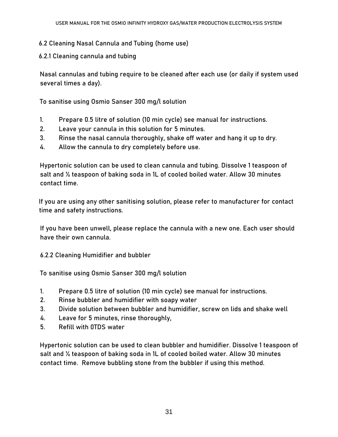- <span id="page-31-0"></span>6.2 Cleaning Nasal Cannula and Tubing (home use)
- 6.2.1 Cleaning cannula and tubing

Nasal cannulas and tubing require to be cleaned after each use (or daily if system used several times a day).

To sanitise using Osmio Sanser 300 mg/l solution

- 1. Prepare 0.5 litre of solution (10 min cycle) see manual for instructions.
- 2. Leave your cannula in this solution for 5 minutes.
- 3. Rinse the nasal cannula thoroughly, shake off water and hang it up to dry.
- 4. Allow the cannula to dry completely before use.

Hypertonic solution can be used to clean cannula and tubing. Dissolve 1 teaspoon of salt and ½ teaspoon of baking soda in 1L of cooled boiled water. Allow 30 minutes contact time.

If you are using any other sanitising solution, please refer to manufacturer for contact time and safety instructions.

If you have been unwell, please replace the cannula with a new one. Each user should have their own cannula.

6.2.2 Cleaning Humidifier and bubbler

To sanitise using Osmio Sanser 300 mg/l solution

- 1. Prepare 0.5 litre of solution (10 min cycle) see manual for instructions.
- 2. Rinse bubbler and humidifier with soapy water
- 3. Divide solution between bubbler and humidifier, screw on lids and shake well
- 4. Leave for 5 minutes, rinse thoroughly,
- 5. Refill with 0TDS water

Hypertonic solution can be used to clean bubbler and humidifier. Dissolve 1 teaspoon of salt and ½ teaspoon of baking soda in 1L of cooled boiled water. Allow 30 minutes contact time. Remove bubbling stone from the bubbler if using this method.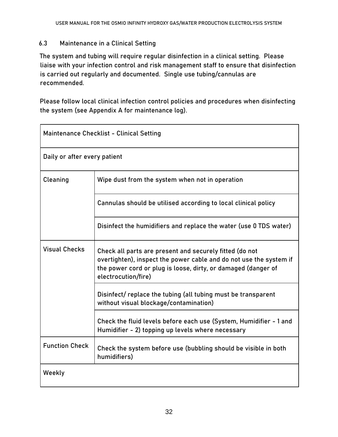#### <span id="page-32-0"></span>6.3 Maintenance in a Clinical Setting

The system and tubing will require regular disinfection in a clinical setting. Please liaise with your infection control and risk management staff to ensure that disinfection is carried out regularly and documented. Single use tubing/cannulas are recommended.

Please follow local clinical infection control policies and procedures when disinfecting the system (see Appendix A for maintenance log).

| <b>Maintenance Checklist - Clinical Setting</b> |                                                                                                                                                                                                                       |  |
|-------------------------------------------------|-----------------------------------------------------------------------------------------------------------------------------------------------------------------------------------------------------------------------|--|
| Daily or after every patient                    |                                                                                                                                                                                                                       |  |
| Cleaning                                        | Wipe dust from the system when not in operation                                                                                                                                                                       |  |
|                                                 | Cannulas should be utilised according to local clinical policy                                                                                                                                                        |  |
|                                                 | Disinfect the humidifiers and replace the water (use 0 TDS water)                                                                                                                                                     |  |
| <b>Visual Checks</b>                            | Check all parts are present and securely fitted (do not<br>overtighten), inspect the power cable and do not use the system if<br>the power cord or plug is loose, dirty, or damaged (danger of<br>electrocution/fire) |  |
|                                                 | Disinfect/replace the tubing (all tubing must be transparent<br>without visual blockage/contamination)                                                                                                                |  |
|                                                 | Check the fluid levels before each use (System, Humidifier - 1 and<br>Humidifier - 2) topping up levels where necessary                                                                                               |  |
| <b>Function Check</b>                           | Check the system before use (bubbling should be visible in both<br>humidifiers)                                                                                                                                       |  |
| Weekly                                          |                                                                                                                                                                                                                       |  |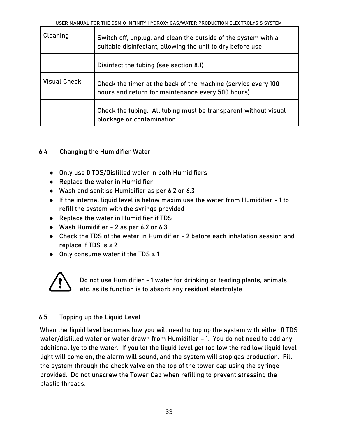| Cleaning            | Switch off, unplug, and clean the outside of the system with a<br>suitable disinfectant, allowing the unit to dry before use |  |  |
|---------------------|------------------------------------------------------------------------------------------------------------------------------|--|--|
|                     | Disinfect the tubing (see section 8.1)                                                                                       |  |  |
| <b>Visual Check</b> | Check the timer at the back of the machine (service every 100<br>hours and return for maintenance every 500 hours)           |  |  |
|                     | Check the tubing. All tubing must be transparent without visual<br>blockage or contamination.                                |  |  |

#### <span id="page-33-0"></span>6.4 Changing the Humidifier Water

- Only use 0 TDS/Distilled water in both Humidifiers
- Replace the water in Humidifier
- Wash and sanitise Humidifier as per 6.2 or 6.3
- If the internal liquid level is below maxim use the water from Humidifier 1 to refill the system with the syringe provided
- Replace the water in Humidifier if TDS
- Wash Humidifier 2 as per 6.2 or 6.3
- Check the TDS of the water in Humidifier 2 before each inhalation session and replace if TDS is  $\geq 2$
- Only consume water if the TDS ≤ 1



Do not use Humidifier - 1 water for drinking or feeding plants, animals etc. as its function is to absorb any residual electrolyte

### <span id="page-33-1"></span>6.5 Topping up the Liquid Level

When the liquid level becomes low you will need to top up the system with either 0 TDS water/distilled water or water drawn from Humidifier – 1. You do not need to add any additional lye to the water. If you let the liquid level get too low the red low liquid level light will come on, the alarm will sound, and the system will stop gas production. Fill the system through the check valve on the top of the tower cap using the syringe provided. Do not unscrew the Tower Cap when refilling to prevent stressing the plastic threads.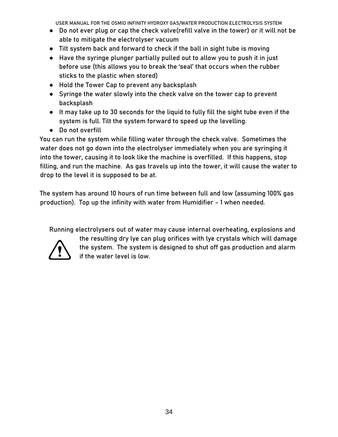- Do not ever plug or cap the check valve(refill valve in the tower) or it will not be able to mitigate the electrolyser vacuum
- Tilt system back and forward to check if the ball in sight tube is moving
- Have the syringe plunger partially pulled out to allow you to push it in just before use (this allows you to break the 'seal' that occurs when the rubber sticks to the plastic when stored)
- Hold the Tower Cap to prevent any backsplash
- Syringe the water slowly into the check valve on the tower cap to prevent backsplash
- It may take up to 30 seconds for the liquid to fully fill the sight tube even if the system is full. Tilt the system forward to speed up the levelling.
- Do not overfill

You can run the system while filling water through the check valve. Sometimes the water does not go down into the electrolyser immediately when you are syringing it into the tower, causing it to look like the machine is overfilled. If this happens, stop filling, and run the machine. As gas travels up into the tower, it will cause the water to drop to the level it is supposed to be at.

The system has around 10 hours of run time between full and low (assuming 100% gas production). Top up the infinity with water from Humidifier - 1 when needed.

Running electrolysers out of water may cause internal overheating, explosions and



the resulting dry lye can plug orifices with lye crystals which will damage the system. The system is designed to shut off gas production and alarm if the water level is low.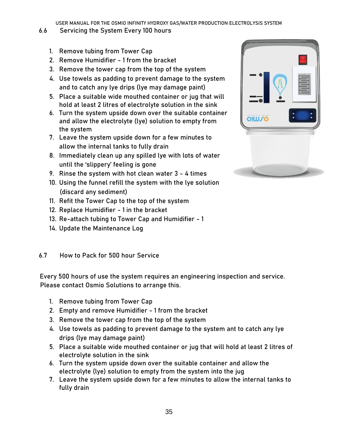- <span id="page-35-0"></span>6.6 Servicing the System Every 100 hours
	- 1. Remove tubing from Tower Cap
	- 2. Remove Humidifier 1 from the bracket
	- 3. Remove the tower cap from the top of the system
	- 4. Use towels as padding to prevent damage to the system and to catch any lye drips (lye may damage paint)
	- 5. Place a suitable wide mouthed container or jug that will hold at least 2 litres of electrolyte solution in the sink
	- 6. Turn the system upside down over the suitable container and allow the electrolyte (lye) solution to empty from the system
	- 7. Leave the system upside down for a few minutes to allow the internal tanks to fully drain
	- 8. Immediately clean up any spilled lye with lots of water until the 'slippery' feeling is gone
	- 9. Rinse the system with hot clean water 3 4 times
	- 10. Using the funnel refill the system with the lye solution (discard any sediment)
	- 11. Refit the Tower Cap to the top of the system
	- 12. Replace Humidifier 1 in the bracket
	- 13. Re-attach tubing to Tower Cap and Humidifier 1
	- 14. Update the Maintenance Log

#### <span id="page-35-1"></span>6.7 How to Pack for 500 hour Service

Every 500 hours of use the system requires an engineering inspection and service. Please contact Osmio Solutions to arrange this.

- 1. Remove tubing from Tower Cap
- 2. Empty and remove Humidifier 1 from the bracket
- 3. Remove the tower cap from the top of the system
- 4. Use towels as padding to prevent damage to the system ant to catch any lye drips (lye may damage paint)
- 5. Place a suitable wide mouthed container or jug that will hold at least 2 litres of electrolyte solution in the sink
- 6. Turn the system upside down over the suitable container and allow the electrolyte (lye) solution to empty from the system into the jug
- 7. Leave the system upside down for a few minutes to allow the internal tanks to fully drain

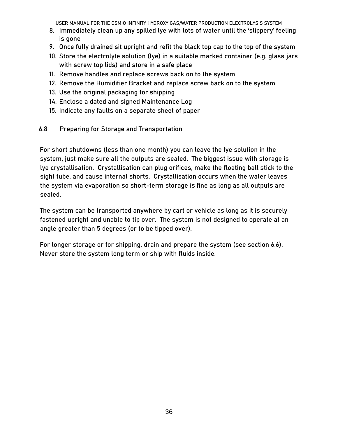- 8. Immediately clean up any spilled lye with lots of water until the 'slippery' feeling is gone
- 9. Once fully drained sit upright and refit the black top cap to the top of the system
- 10. Store the electrolyte solution (lye) in a suitable marked container (e.g. glass jars with screw top lids) and store in a safe place
- 11. Remove handles and replace screws back on to the system
- 12. Remove the Humidifier Bracket and replace screw back on to the system
- 13. Use the original packaging for shipping
- 14. Enclose a dated and signed Maintenance Log
- 15. Indicate any faults on a separate sheet of paper
- <span id="page-36-0"></span>6.8 Preparing for Storage and Transportation

For short shutdowns (less than one month) you can leave the lye solution in the system, just make sure all the outputs are sealed. The biggest issue with storage is lye crystallisation. Crystallisation can plug orifices, make the floating ball stick to the sight tube, and cause internal shorts. Crystallisation occurs when the water leaves the system via evaporation so short-term storage is fine as long as all outputs are sealed.

The system can be transported anywhere by cart or vehicle as long as it is securely fastened upright and unable to tip over. The system is not designed to operate at an angle greater than 5 degrees (or to be tipped over).

<span id="page-36-1"></span>For longer storage or for shipping, drain and prepare the system (see section 6.6). Never store the system long term or ship with fluids inside.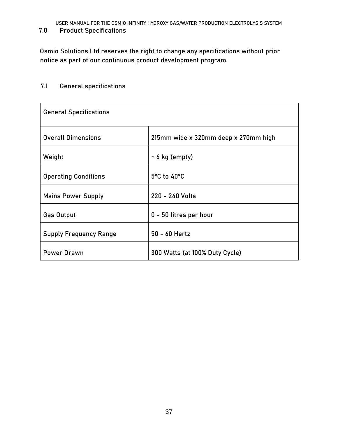**7.0 Product Specifications** 

Osmio Solutions Ltd reserves the right to change any specifications without prior notice as part of our continuous product development program.

#### <span id="page-37-0"></span>7.1 General specifications

<span id="page-37-1"></span>

| <b>General Specifications</b> |                                      |
|-------------------------------|--------------------------------------|
| <b>Overall Dimensions</b>     | 215mm wide x 320mm deep x 270mm high |
| Weight                        | $\sim$ 6 kg (empty)                  |
| <b>Operating Conditions</b>   | 5°C to 40°C                          |
| <b>Mains Power Supply</b>     | 220 - 240 Volts                      |
| <b>Gas Output</b>             | 0 - 50 litres per hour               |
| <b>Supply Frequency Range</b> | 50 - 60 Hertz                        |
| <b>Power Drawn</b>            | 300 Watts (at 100% Duty Cycle)       |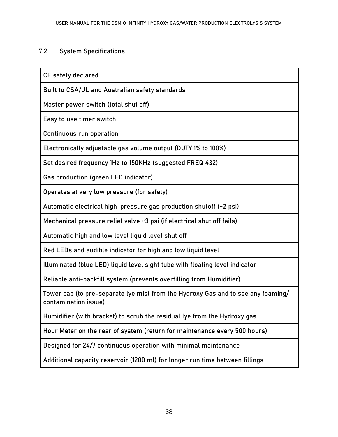#### 7.2 System Specifications

CE safety declared

Built to CSA/UL and Australian safety standards

Master power switch (total shut off)

Easy to use timer switch

Continuous run operation

Electronically adjustable gas volume output (DUTY 1% to 100%)

Set desired frequency 1Hz to 150KHz (suggested FREQ 432)

Gas production (green LED indicator)

Operates at very low pressure (for safety)

Automatic electrical high-pressure gas production shutoff (~2 psi)

Mechanical pressure relief valve ~3 psi (if electrical shut off fails)

Automatic high and low level liquid level shut off

Red LEDs and audible indicator for high and low liquid level

Illuminated (blue LED) liquid level sight tube with floating level indicator

Reliable anti-backfill system (prevents overfilling from Humidifier)

Tower cap (to pre-separate lye mist from the Hydroxy Gas and to see any foaming/ contamination issue)

Humidifier (with bracket) to scrub the residual lye from the Hydroxy gas

Hour Meter on the rear of system (return for maintenance every 500 hours)

Designed for 24/7 continuous operation with minimal maintenance

<span id="page-38-0"></span>Additional capacity reservoir (1200 ml) for longer run time between fillings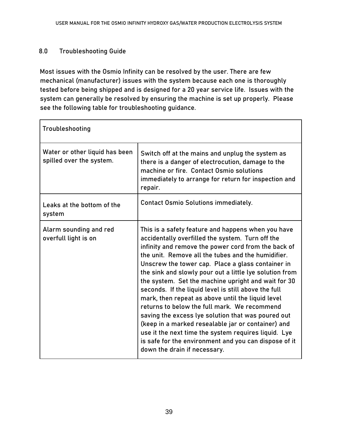#### **8.0 Troubleshooting Guide**

Most issues with the Osmio Infinity can be resolved by the user. There are few mechanical (manufacturer) issues with the system because each one is thoroughly tested before being shipped and is designed for a 20 year service life. Issues with the system can generally be resolved by ensuring the machine is set up properly. Please see the following table for troubleshooting guidance.

| Troubleshooting                                            |                                                                                                                                                                                                                                                                                                                                                                                                                                                                                                                                                                                                                                                                                                                                                                                                                      |
|------------------------------------------------------------|----------------------------------------------------------------------------------------------------------------------------------------------------------------------------------------------------------------------------------------------------------------------------------------------------------------------------------------------------------------------------------------------------------------------------------------------------------------------------------------------------------------------------------------------------------------------------------------------------------------------------------------------------------------------------------------------------------------------------------------------------------------------------------------------------------------------|
| Water or other liquid has been<br>spilled over the system. | Switch off at the mains and unplug the system as<br>there is a danger of electrocution, damage to the<br>machine or fire. Contact Osmio solutions<br>immediately to arrange for return for inspection and<br>repair.                                                                                                                                                                                                                                                                                                                                                                                                                                                                                                                                                                                                 |
| Leaks at the bottom of the<br>system                       | <b>Contact Osmio Solutions immediately.</b>                                                                                                                                                                                                                                                                                                                                                                                                                                                                                                                                                                                                                                                                                                                                                                          |
| Alarm sounding and red<br>overfull light is on             | This is a safety feature and happens when you have<br>accidentally overfilled the system. Turn off the<br>infinity and remove the power cord from the back of<br>the unit. Remove all the tubes and the humidifier.<br>Unscrew the tower cap. Place a glass container in<br>the sink and slowly pour out a little lye solution from<br>the system. Set the machine upright and wait for 30<br>seconds. If the liquid level is still above the full<br>mark, then repeat as above until the liquid level<br>returns to below the full mark. We recommend<br>saving the excess lye solution that was poured out<br>(keep in a marked resealable jar or container) and<br>use it the next time the system requires liquid. Lye<br>is safe for the environment and you can dispose of it<br>down the drain if necessary. |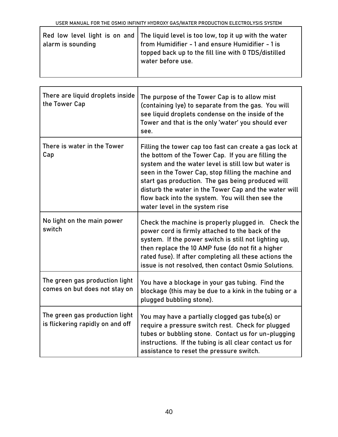| alarm is sounding | Red low level light is on and The liquid level is too low, top it up with the water<br>from Humidifier - 1 and ensure Humidifier - 1 is<br>topped back up to the fill line with 0 TDS/distilled<br>water before use. |
|-------------------|----------------------------------------------------------------------------------------------------------------------------------------------------------------------------------------------------------------------|
|                   |                                                                                                                                                                                                                      |

| There are liquid droplets inside<br>the Tower Cap                  | The purpose of the Tower Cap is to allow mist<br>(containing lye) to separate from the gas. You will<br>see liquid droplets condense on the inside of the<br>Tower and that is the only 'water' you should ever<br>see.                                                                                                                                                                                                           |
|--------------------------------------------------------------------|-----------------------------------------------------------------------------------------------------------------------------------------------------------------------------------------------------------------------------------------------------------------------------------------------------------------------------------------------------------------------------------------------------------------------------------|
| There is water in the Tower<br>Cap                                 | Filling the tower cap too fast can create a gas lock at<br>the bottom of the Tower Cap. If you are filling the<br>system and the water level is still low but water is<br>seen in the Tower Cap, stop filling the machine and<br>start gas production. The gas being produced will<br>disturb the water in the Tower Cap and the water will<br>flow back into the system. You will then see the<br>water level in the system rise |
| No light on the main power<br>switch                               | Check the machine is properly plugged in. Check the<br>power cord is firmly attached to the back of the<br>system. If the power switch is still not lighting up,<br>then replace the 10 AMP fuse (do not fit a higher<br>rated fuse). If after completing all these actions the<br>issue is not resolved, then contact Osmio Solutions.                                                                                           |
| The green gas production light<br>comes on but does not stay on    | You have a blockage in your gas tubing. Find the<br>blockage (this may be due to a kink in the tubing or a<br>plugged bubbling stone).                                                                                                                                                                                                                                                                                            |
| The green gas production light<br>is flickering rapidly on and off | You may have a partially clogged gas tube(s) or<br>require a pressure switch rest. Check for plugged<br>tubes or bubbling stone. Contact us for un-plugging<br>instructions. If the tubing is all clear contact us for<br>assistance to reset the pressure switch.                                                                                                                                                                |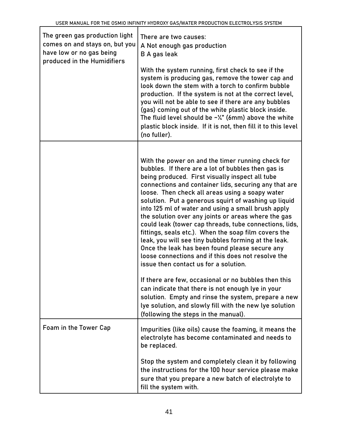| The green gas production light<br>comes on and stays on, but you<br>have low or no gas being<br>produced in the Humidifiers | There are two causes:<br>A Not enough gas production<br>B A gas leak<br>With the system running, first check to see if the<br>system is producing gas, remove the tower cap and<br>look down the stem with a torch to confirm bubble<br>production. If the system is not at the correct level,<br>you will not be able to see if there are any bubbles<br>(gas) coming out of the white plastic block inside.<br>The fluid level should be $\sim$ <sup><math>\chi</math></sup> " (6mm) above the white<br>plastic block inside. If it is not, then fill it to this level<br>(no fuller).                                                                                                                                                                               |
|-----------------------------------------------------------------------------------------------------------------------------|------------------------------------------------------------------------------------------------------------------------------------------------------------------------------------------------------------------------------------------------------------------------------------------------------------------------------------------------------------------------------------------------------------------------------------------------------------------------------------------------------------------------------------------------------------------------------------------------------------------------------------------------------------------------------------------------------------------------------------------------------------------------|
|                                                                                                                             | With the power on and the timer running check for<br>bubbles. If there are a lot of bubbles then gas is<br>being produced. First visually inspect all tube<br>connections and container lids, securing any that are<br>loose. Then check all areas using a soapy water<br>solution. Put a generous squirt of washing up liquid<br>into 125 ml of water and using a small brush apply<br>the solution over any joints or areas where the gas<br>could leak (tower cap threads, tube connections, lids,<br>fittings, seals etc.). When the soap film covers the<br>leak, you will see tiny bubbles forming at the leak.<br>Once the leak has been found please secure any<br>loose connections and if this does not resolve the<br>issue then contact us for a solution. |
|                                                                                                                             | If there are few, occasional or no bubbles then this<br>can indicate that there is not enough lye in your<br>solution. Empty and rinse the system, prepare a new<br>lye solution, and slowly fill with the new lye solution<br>(following the steps in the manual).                                                                                                                                                                                                                                                                                                                                                                                                                                                                                                    |
| Foam in the Tower Cap                                                                                                       | Impurities (like oils) cause the foaming, it means the<br>electrolyte has become contaminated and needs to<br>be replaced.                                                                                                                                                                                                                                                                                                                                                                                                                                                                                                                                                                                                                                             |
|                                                                                                                             | Stop the system and completely clean it by following<br>the instructions for the 100 hour service please make<br>sure that you prepare a new batch of electrolyte to<br>fill the system with.                                                                                                                                                                                                                                                                                                                                                                                                                                                                                                                                                                          |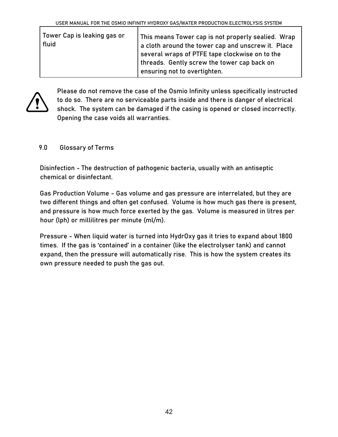| Tower Cap is leaking gas or<br>fluid | This means Tower cap is not properly sealied. Wrap<br>a cloth around the tower cap and unscrew it. Place<br>several wraps of PTFE tape clockwise on to the<br>threads. Gently screw the tower cap back on<br>ensuring not to overtighten. |
|--------------------------------------|-------------------------------------------------------------------------------------------------------------------------------------------------------------------------------------------------------------------------------------------|
|                                      |                                                                                                                                                                                                                                           |



Please do not remove the case of the Osmio Infinity unless specifically instructed to do so. There are no serviceable parts inside and there is danger of electrical shock. The system can be damaged if the casing is opened or closed incorrectly. Opening the case voids all warranties.

#### <span id="page-42-0"></span>**9.0 Glossary of Terms**

**Disinfection -** The destruction of pathogenic bacteria, usually with an antiseptic chemical or disinfectant.

**Gas Production Volume** - Gas volume and gas pressure are interrelated, but they are two different things and often get confused. Volume is how much gas there is present, and pressure is how much force exerted by the gas. Volume is measured in litres per hour (lph) or millilitres per minute (ml/m).

**Pressure** - When liquid water is turned into HydrOxy gas it tries to expand about 1800 times. If the gas is 'contained' in a container (like the electrolyser tank) and cannot expand, then the pressure will automatically rise. This is how the system creates its own pressure needed to push the gas out.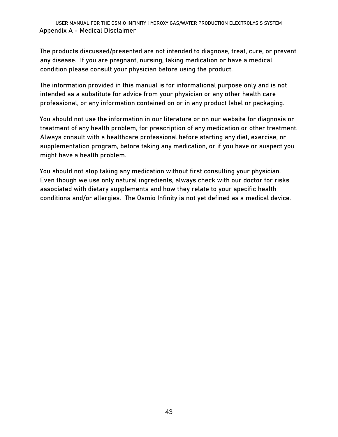<span id="page-43-0"></span>The products discussed/presented are not intended to diagnose, treat, cure, or prevent any disease. If you are pregnant, nursing, taking medication or have a medical condition please consult your physician before using the product.

The information provided in this manual is for informational purpose only and is not intended as a substitute for advice from your physician or any other health care professional, or any information contained on or in any product label or packaging.

You should not use the information in our literature or on our website for diagnosis or treatment of any health problem, for prescription of any medication or other treatment. Always consult with a healthcare professional before starting any diet, exercise, or supplementation program, before taking any medication, or if you have or suspect you might have a health problem.

You should not stop taking any medication without first consulting your physician. Even though we use only natural ingredients, always check with our doctor for risks associated with dietary supplements and how they relate to your specific health conditions and/or allergies. The Osmio Infinity is not yet defined as a medical device.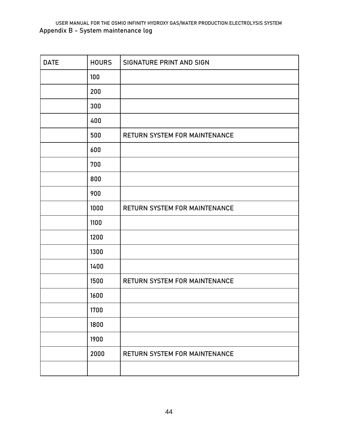<span id="page-44-0"></span>USER MANUAL FOR THE OSMIO INFINITY HYDROXY GAS/WATER PRODUCTION ELECTROLYSIS SYSTEM **Appendix B - System maintenance log** 

| <b>DATE</b> | <b>HOURS</b> | SIGNATURE PRINT AND SIGN      |
|-------------|--------------|-------------------------------|
|             | 100          |                               |
|             | 200          |                               |
|             | 300          |                               |
|             | 400          |                               |
|             | 500          | RETURN SYSTEM FOR MAINTENANCE |
|             | 600          |                               |
|             | 700          |                               |
|             | 800          |                               |
|             | 900          |                               |
|             | 1000         | RETURN SYSTEM FOR MAINTENANCE |
|             | 1100         |                               |
|             | 1200         |                               |
|             | 1300         |                               |
|             | 1400         |                               |
|             | 1500         | RETURN SYSTEM FOR MAINTENANCE |
|             | 1600         |                               |
|             | 1700         |                               |
|             | 1800         |                               |
|             | 1900         |                               |
|             | 2000         | RETURN SYSTEM FOR MAINTENANCE |
|             |              |                               |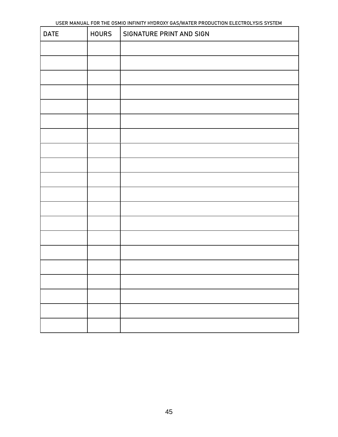| <b>DATE</b> | <b>HOURS</b> | SIGNATURE PRINT AND SIGN |
|-------------|--------------|--------------------------|
|             |              |                          |
|             |              |                          |
|             |              |                          |
|             |              |                          |
|             |              |                          |
|             |              |                          |
|             |              |                          |
|             |              |                          |
|             |              |                          |
|             |              |                          |
|             |              |                          |
|             |              |                          |
|             |              |                          |
|             |              |                          |
|             |              |                          |
|             |              |                          |
|             |              |                          |
|             |              |                          |
|             |              |                          |
|             |              |                          |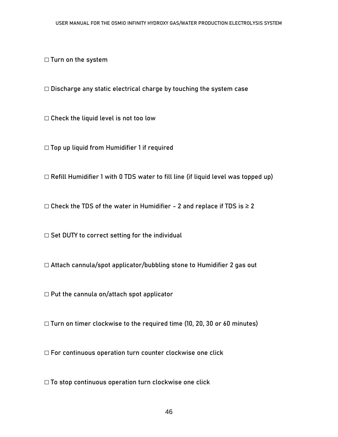□ Turn on the system

□ Discharge any static electrical charge by touching the system case

□ Check the liquid level is not too low

☐ Top up liquid from Humidifier 1 if required

☐ Refill Humidifier 1 with 0 TDS water to fill line (if liquid level was topped up)

 $\Box$  Check the TDS of the water in Humidifier - 2 and replace if TDS is  $\geq 2$ 

□ Set DUTY to correct setting for the individual

☐ Attach cannula/spot applicator/bubbling stone to Humidifier 2 gas out

☐ Put the cannula on/attach spot applicator

☐ Turn on timer clockwise to the required time (10, 20, 30 or 60 minutes)

☐ For continuous operation turn counter clockwise one click

<span id="page-46-0"></span>□ To stop continuous operation turn clockwise one click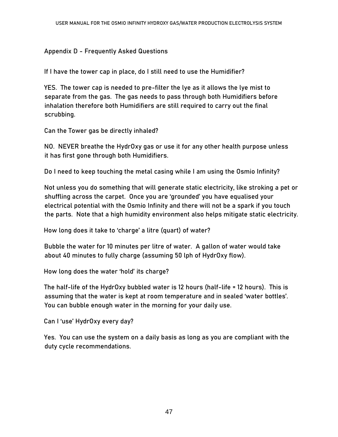#### **Appendix D - Frequently Asked Questions**

**If I have the tower cap in place, do I still need to use the Humidifier?** 

YES. The tower cap is needed to pre-filter the lye as it allows the lye mist to separate from the gas. The gas needs to pass through both Humidifiers before inhalation therefore both Humidifiers are still required to carry out the final scrubbing.

**Can the Tower gas be directly inhaled?** 

NO. NEVER breathe the HydrOxy gas or use it for any other health purpose unless it has first gone through both Humidifiers.

**Do I need to keep touching the metal casing while I am using the Osmio Infinity?** 

Not unless you do something that will generate static electricity, like stroking a pet or shuffling across the carpet. Once you are 'grounded' you have equalised your electrical potential with the Osmio Infinity and there will not be a spark if you touch the parts. Note that a high humidity environment also helps mitigate static electricity.

How long does it take to 'charge' a litre (quart) of water?

Bubble the water for 10 minutes per litre of water. A gallon of water would take about 40 minutes to fully charge (assuming 50 lph of HydrOxy flow).

How long does the water 'hold' **its charge?** 

The half-life of the HydrOxy bubbled water is 12 hours (half-life = 12 hours). This is assuming that the water is kept at room temperature and in sealed 'water bottles'. You can bubble enough water in the morning for your daily use.

Can I 'use' HydrOxy every day?

Yes. You can use the system on a daily basis as long as you are compliant with the duty cycle recommendations.